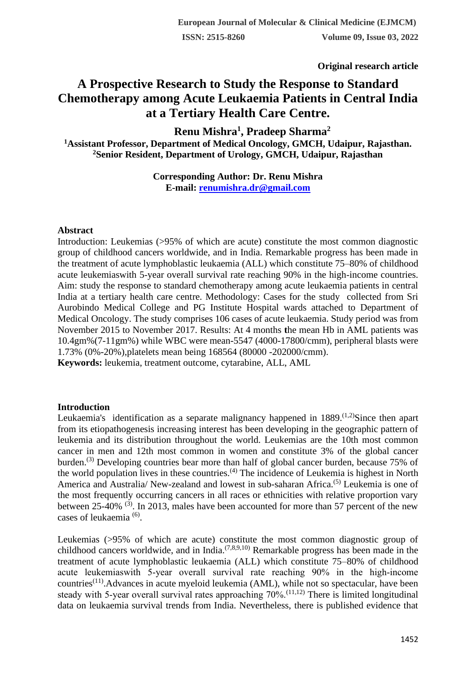**Original research article** 

# **A Prospective Research to Study the Response to Standard Chemotherapy among Acute Leukaemia Patients in Central India at a Tertiary Health Care Centre.**

**Renu Mishra<sup>1</sup> , Pradeep Sharma<sup>2</sup> <sup>1</sup>Assistant Professor, Department of Medical Oncology, GMCH, Udaipur, Rajasthan. <sup>2</sup>Senior Resident, Department of Urology, GMCH, Udaipur, Rajasthan**

> **Corresponding Author: Dr. Renu Mishra E-mail: [renumishra.dr@gmail.com](mailto:renumishra.dr@gmail.com)**

#### **Abstract**

Introduction: Leukemias (>95% of which are acute) constitute the most common diagnostic group of childhood cancers worldwide, and in India. Remarkable progress has been made in the treatment of acute lymphoblastic leukaemia (ALL) which constitute 75–80% of childhood acute leukemiaswith 5-year overall survival rate reaching 90% in the high-income countries. Aim: study the response to standard chemotherapy among acute leukaemia patients in central India at a tertiary health care centre. Methodology: Cases for the study collected from Sri Aurobindo Medical College and PG Institute Hospital wards attached to Department of Medical Oncology. The study comprises 106 cases of acute leukaemia. Study period was from November 2015 to November 2017. Results: At 4 months **t**he mean Hb in AML patients was 10.4gm%(7-11gm%) while WBC were mean-5547 (4000-17800/cmm), peripheral blasts were 1.73% (0%-20%),platelets mean being 168564 (80000 -202000/cmm).

**Keywords:** leukemia, treatment outcome, cytarabine, ALL, AML

# **Introduction**

Leukaemia's identification as a separate malignancy happened in  $1889$ <sup>(1,2)</sup>Since then apart from its etiopathogenesis increasing interest has been developing in the geographic pattern of leukemia and its distribution throughout the world. Leukemias are the 10th most common cancer in men and 12th most common in women and constitute 3% of the global cancer burden.(3) Developing countries bear more than half of global cancer burden, because 75% of the world population lives in these countries.(4) The incidence of Leukemia is highest in North America and Australia/ New-zealand and lowest in sub-saharan Africa.<sup>(5)</sup> Leukemia is one of the most frequently occurring cancers in all races or ethnicities with relative proportion vary between 25-40%  $(3)$ . In 2013, males have been accounted for more than 57 percent of the new cases of leukaemia<sup>(6)</sup>.

Leukemias (>95% of which are acute) constitute the most common diagnostic group of childhood cancers worldwide, and in India.<sup> $(7,8,9,10)$ </sup> Remarkable progress has been made in the treatment of acute lymphoblastic leukaemia (ALL) which constitute 75–80% of childhood acute leukemiaswith 5‐year overall survival rate reaching 90% in the high‐income countries<sup>(11)</sup>. Advances in acute myeloid leukemia (AML), while not so spectacular, have been steady with 5-year overall survival rates approaching 70%.<sup>(11,12)</sup> There is limited longitudinal data on leukaemia survival trends from India. Nevertheless, there is published evidence that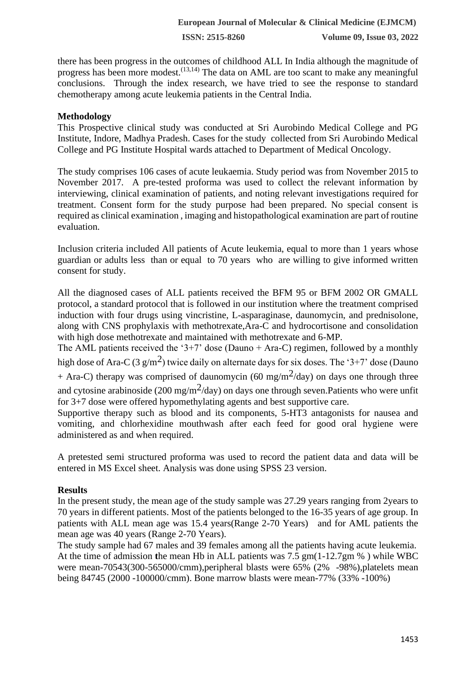**ISSN: 2515-8260 Volume 09, Issue 03, 2022**

there has been progress in the outcomes of childhood ALL In India although the magnitude of progress has been more modest.<sup>(13,14)</sup> The data on AML are too scant to make any meaningful conclusions. Through the index research, we have tried to see the response to standard chemotherapy among acute leukemia patients in the Central India.

# **Methodology**

This Prospective clinical study was conducted at Sri Aurobindo Medical College and PG Institute, Indore, Madhya Pradesh. Cases for the study collected from Sri Aurobindo Medical College and PG Institute Hospital wards attached to Department of Medical Oncology.

The study comprises 106 cases of acute leukaemia. Study period was from November 2015 to November 2017. A pre-tested proforma was used to collect the relevant information by interviewing, clinical examination of patients, and noting relevant investigations required for treatment. Consent form for the study purpose had been prepared. No special consent is required as clinical examination , imaging and histopathological examination are part of routine evaluation.

Inclusion criteria included All patients of Acute leukemia, equal to more than 1 years whose guardian or adults less than or equal to 70 years who are willing to give informed written consent for study.

All the diagnosed cases of ALL patients received the BFM 95 or BFM 2002 OR GMALL protocol, a standard protocol that is followed in our institution where the treatment comprised induction with four drugs using vincristine, L-asparaginase, daunomycin, and prednisolone, along with CNS prophylaxis with methotrexate,Ara-C and hydrocortisone and consolidation with high dose methotrexate and maintained with methotrexate and 6-MP.

The AML patients received the '3+7' dose (Dauno + Ara-C) regimen, followed by a monthly high dose of Ara-C (3 g/m<sup>2</sup>) twice daily on alternate days for six doses. The '3+7' dose (Dauno + Ara-C) therapy was comprised of daunomycin (60 mg/m<sup>2</sup>/day) on days one through three and cytosine arabinoside (200 mg/m<sup>2</sup>/day) on days one through seven. Patients who were unfit for 3+7 dose were offered hypomethylating agents and best supportive care.

Supportive therapy such as blood and its components, 5-HT3 antagonists for nausea and vomiting, and chlorhexidine mouthwash after each feed for good oral hygiene were administered as and when required.

A pretested semi structured proforma was used to record the patient data and data will be entered in MS Excel sheet. Analysis was done using SPSS 23 version.

# **Results**

In the present study, the mean age of the study sample was 27.29 years ranging from 2years to 70 years in different patients. Most of the patients belonged to the 16-35 years of age group. In patients with ALL mean age was 15.4 years(Range 2-70 Years) and for AML patients the mean age was 40 years (Range 2-70 Years).

The study sample had 67 males and 39 females among all the patients having acute leukemia. At the time of admission **t**he mean Hb in ALL patients was 7.5 gm(1-12.7gm % ) while WBC were mean-70543(300-565000/cmm),peripheral blasts were 65% (2% -98%),platelets mean being 84745 (2000 -100000/cmm). Bone marrow blasts were mean-77% (33% -100%)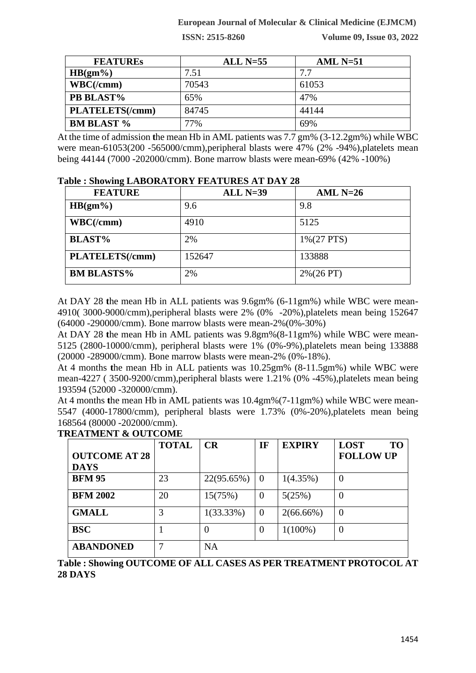### **European Journal of Molecular & Clinical Medicine (EJMCM)**

**ISSN: 2515-8260 Volume 09, Issue 03, 2022**

| <b>FEATURES</b>        | $ALL N=55$ | AML $N=51$ |  |
|------------------------|------------|------------|--|
| $HB(gm\%)$             | 7.51       | 7.7        |  |
| WBC/(cmm)              | 70543      | 61053      |  |
| PB BLAST%              | 65%        | 47%        |  |
| <b>PLATELETS(/cmm)</b> | 84745      | 44144      |  |
| <b>BM BLAST %</b>      | 77%        | 69%        |  |

At the time of admission **t**he mean Hb in AML patients was 7.7 gm% (3-12.2gm%) while WBC were mean-61053(200 -565000/cmm),peripheral blasts were 47% (2% -94%),platelets mean being 44144 (7000 -202000/cmm). Bone marrow blasts were mean-69% (42% -100%)

#### **Table : Showing LABORATORY FEATURES AT DAY 28**

| <b>FEATURE</b>    | ALL $N=39$ | AML $N=26$     |
|-------------------|------------|----------------|
| $HB(gm\%)$        | 9.6        | 9.8            |
| WBC/(cmm)         | 4910       | 5125           |
| <b>BLAST%</b>     | 2%         | $1\% (27 PTS)$ |
| PLATELETS(/cmm)   | 152647     | 133888         |
| <b>BM BLASTS%</b> | 2%         | $2\% (26 PT)$  |

At DAY 28 **t**he mean Hb in ALL patients was 9.6gm% (6-11gm%) while WBC were mean-4910( 3000-9000/cmm),peripheral blasts were 2% (0% -20%),platelets mean being 152647 (64000 -290000/cmm). Bone marrow blasts were mean-2%(0%-30%)

At DAY 28 **t**he mean Hb in AML patients was 9.8gm%(8-11gm%) while WBC were mean-5125 (2800-10000/cmm), peripheral blasts were 1% (0%-9%),platelets mean being 133888 (20000 -289000/cmm). Bone marrow blasts were mean-2% (0%-18%).

At 4 months **t**he mean Hb in ALL patients was 10.25gm% (8-11.5gm%) while WBC were mean-4227 ( 3500-9200/cmm),peripheral blasts were 1.21% (0% -45%),platelets mean being 193594 (52000 -320000/cmm).

At 4 months **t**he mean Hb in AML patients was 10.4gm%(7-11gm%) while WBC were mean-5547 (4000-17800/cmm), peripheral blasts were 1.73% (0%-20%),platelets mean being 168564 (80000 -202000/cmm).

|                      | <b>TOTAL</b> | CR           | IF             | <b>EXPIRY</b> | <b>LOST</b><br><b>TO</b> |
|----------------------|--------------|--------------|----------------|---------------|--------------------------|
| <b>OUTCOME AT 28</b> |              |              |                |               | <b>FOLLOW UP</b>         |
| <b>DAYS</b>          |              |              |                |               |                          |
| <b>BFM 95</b>        | 23           | 22(95.65%)   | - 0            | 1(4.35%)      | $\theta$                 |
| <b>BFM 2002</b>      | 20           | 15(75%)      | $\overline{0}$ | 5(25%)        | $\theta$                 |
| <b>GMALL</b>         | 3            | $1(33.33\%)$ | $\theta$       | $2(66.66\%)$  | $\overline{0}$           |
| <b>BSC</b>           |              | 0            | $\theta$       | $1(100\%)$    | $\overline{0}$           |
| <b>ABANDONED</b>     |              | <b>NA</b>    |                |               |                          |

**TREATMENT & OUTCOME**

**Table : Showing OUTCOME OF ALL CASES AS PER TREATMENT PROTOCOL AT 28 DAYS**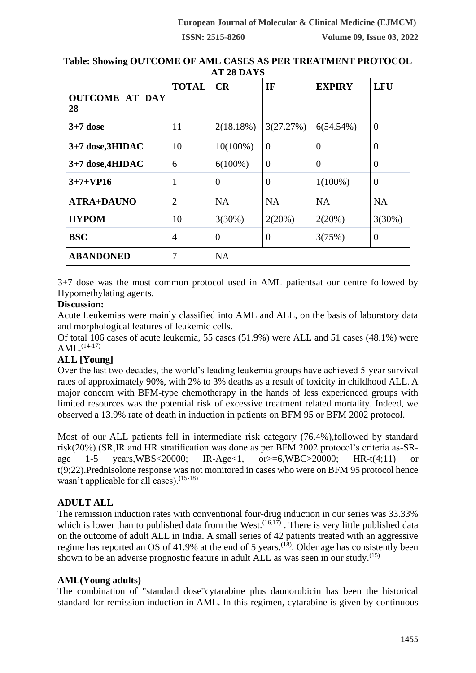|                             | <b>TOTAL</b>   | CR          | IF        | <b>EXPIRY</b> | <b>LFU</b>     |
|-----------------------------|----------------|-------------|-----------|---------------|----------------|
| <b>OUTCOME AT DAY</b><br>28 |                |             |           |               |                |
| $3+7$ dose                  | 11             | 2(18.18%)   | 3(27.27%) | $6(54.54\%)$  | $\overline{0}$ |
| 3+7 dose, 3HIDAC            | 10             | $10(100\%)$ | $\theta$  | $\Omega$      | $\theta$       |
| 3+7 dose,4HIDAC             | 6              | $6(100\%)$  | $\theta$  | $\Omega$      | $\theta$       |
| $3+7+VP16$                  | 1              | 0           | $\theta$  | $1(100\%)$    | $\theta$       |
| <b>ATRA+DAUNO</b>           | $\overline{2}$ | <b>NA</b>   | <b>NA</b> | <b>NA</b>     | <b>NA</b>      |
| <b>HYPOM</b>                | 10             | 3(30%)      | 2(20%)    | 2(20%)        | 3(30%)         |
| <b>BSC</b>                  | $\overline{4}$ | 0           | $\theta$  | 3(75%)        | 0              |
| <b>ABANDONED</b>            | 7              | <b>NA</b>   |           |               |                |

**Table: Showing OUTCOME OF AML CASES AS PER TREATMENT PROTOCOL AT 28 DAYS**

3+7 dose was the most common protocol used in AML patientsat our centre followed by Hypomethylating agents.

# **Discussion:**

Acute Leukemias were mainly classified into AML and ALL, on the basis of laboratory data and morphological features of leukemic cells.

Of total 106 cases of acute leukemia, 55 cases (51.9%) were ALL and 51 cases (48.1%) were  $AML.$ <sup> $(14-17)$ </sup>

# **ALL [Young]**

Over the last two decades, the world's leading leukemia groups have achieved 5-year survival rates of approximately 90%, with 2% to 3% deaths as a result of toxicity in childhood ALL. A major concern with BFM-type chemotherapy in the hands of less experienced groups with limited resources was the potential risk of excessive treatment related mortality. Indeed, we observed a 13.9% rate of death in induction in patients on BFM 95 or BFM 2002 protocol.

Most of our ALL patients fell in intermediate risk category (76.4%),followed by standard risk(20%).(SR,IR and HR stratification was done as per BFM 2002 protocol's criteria as-SRage 1-5 years,WBS<20000; IR-Age<1, or>=6,WBC>20000; HR-t(4;11) or t(9;22).Prednisolone response was not monitored in cases who were on BFM 95 protocol hence wasn't applicable for all cases).<sup>(15-18)</sup>

# **ADULT ALL**

The remission induction rates with conventional four-drug induction in our series was 33.33% which is lower than to published data from the West.<sup> $(16,17)$ </sup>. There is very little published data on the outcome of adult ALL in India. A small series of 42 patients treated with an aggressive regime has reported an OS of 41.9% at the end of 5 years.<sup> $(18)$ </sup>. Older age has consistently been shown to be an adverse prognostic feature in adult ALL as was seen in our study.<sup> $(15)$ </sup>

# **AML(Young adults)**

The combination of "standard dose["cytarabine](https://www.uptodate.com/contents/cytarabine-drug-information?source=see_link) plus [daunorubicin](https://www.uptodate.com/contents/daunorubicin-drug-information?source=see_link) has been the historical standard for remission induction in AML. In this regimen, cytarabine is given by continuous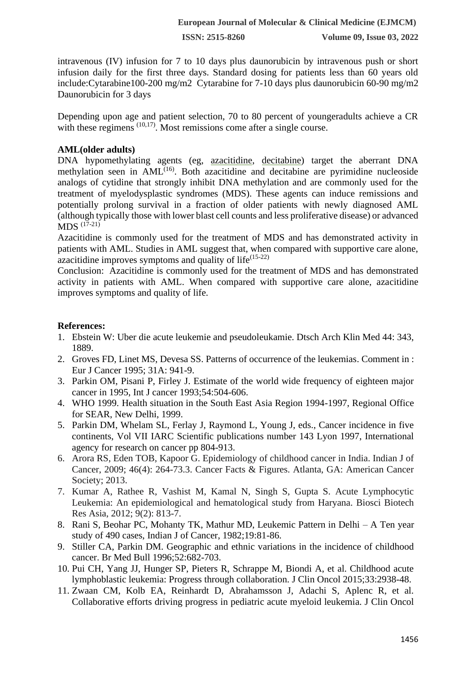intravenous (IV) infusion for 7 to 10 days plus daunorubicin by intravenous push or short infusion daily for the first three days. Standard dosing for patients less than 60 years old include[:Cytarabine1](https://www.uptodate.com/contents/cytarabine-drug-information?source=see_link)00-200 mg/m2 Cytarabine for 7-10 days plus [daunorubicin](https://www.uptodate.com/contents/daunorubicin-drug-information?source=see_link) 60-90 mg/m2 Daunorubicin for 3 days

Depending upon age and patient selection, 70 to 80 percent of youngeradults achieve a CR with these regimens <sup>(10,17)</sup>. Most remissions come after a single course.

# **AML(older adults)**

DNA hypomethylating agents (eg, [azacitidine,](https://www.uptodate.com/contents/azacitidine-drug-information?source=see_link) [decitabine\)](https://www.uptodate.com/contents/decitabine-drug-information?source=see_link) target the aberrant DNA methylation seen in  $AML<sup>(16)</sup>$ . Both azacitidine and decitabine are pyrimidine nucleoside analogs of cytidine that strongly inhibit DNA methylation and are commonly used for the treatment of myelodysplastic syndromes (MDS). These agents can induce remissions and potentially prolong survival in a fraction of older patients with newly diagnosed AML (although typically those with lower blast cell counts and less proliferative disease) or advanced MDS (17-21)

[Azacitidine](https://www.uptodate.com/contents/azacitidine-drug-information?source=see_link) is commonly used for the treatment of MDS and has demonstrated activity in patients with AML. Studies in AML suggest that, when compared with supportive care alone, azacitidine improves symptoms and quality of life $^{(15-22)}$ 

Conclusion: [Azacitidine](https://www.uptodate.com/contents/azacitidine-drug-information?source=see_link) is commonly used for the treatment of MDS and has demonstrated activity in patients with AML. When compared with supportive care alone, azacitidine improves symptoms and quality of life.

### **References:**

- 1. Ebstein W: Uber die acute leukemie and pseudoleukamie. Dtsch Arch Klin Med 44: 343, 1889.
- 2. Groves FD, Linet MS, Devesa SS. Patterns of occurrence of the leukemias. Comment in : Eur J Cancer 1995; 31A: 941-9.
- 3. Parkin OM, Pisani P, Firley J. Estimate of the world wide frequency of eighteen major cancer in 1995, Int J cancer 1993;54:504-606.
- 4. WHO 1999. Health situation in the South East Asia Region 1994-1997, Regional Office for SEAR, New Delhi, 1999.
- 5. Parkin DM, Whelam SL, Ferlay J, Raymond L, Young J, eds., Cancer incidence in five continents, Vol VII IARC Scientific publications number 143 Lyon 1997, International agency for research on cancer pp 804-913.
- 6. Arora RS, Eden TOB, Kapoor G. Epidemiology of childhood cancer in India. Indian J of Cancer, 2009; 46(4): 264-73.3. Cancer Facts & Figures. Atlanta, GA: American Cancer Society; 2013.
- 7. Kumar A, Rathee R, Vashist M, Kamal N, Singh S, Gupta S. Acute Lymphocytic Leukemia: An epidemiological and hematological study from Haryana. Biosci Biotech Res Asia, 2012; 9(2): 813-7.
- 8. Rani S, Beohar PC, Mohanty TK, Mathur MD, Leukemic Pattern in Delhi A Ten year study of 490 cases, Indian J of Cancer, 1982;19:81-86.
- 9. Stiller CA, Parkin DM. Geographic and ethnic variations in the incidence of childhood cancer. Br Med Bull 1996;52:682-703.
- 10. Pui CH, Yang JJ, Hunger SP, Pieters R, Schrappe M, Biondi A, et al. Childhood acute lymphoblastic leukemia: Progress through collaboration. J Clin Oncol 2015;33:2938-48.
- 11. Zwaan CM, Kolb EA, Reinhardt D, Abrahamsson J, Adachi S, Aplenc R, et al. Collaborative efforts driving progress in pediatric acute myeloid leukemia. J Clin Oncol